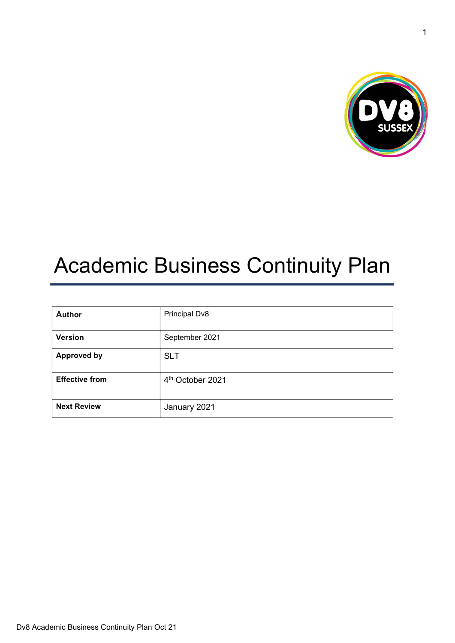

# Academic Business Continuity Plan

| <b>Author</b>         | Principal Dv8                |
|-----------------------|------------------------------|
| <b>Version</b>        | September 2021               |
| <b>Approved by</b>    | <b>SLT</b>                   |
| <b>Effective from</b> | 4 <sup>th</sup> October 2021 |
| <b>Next Review</b>    | January 2021                 |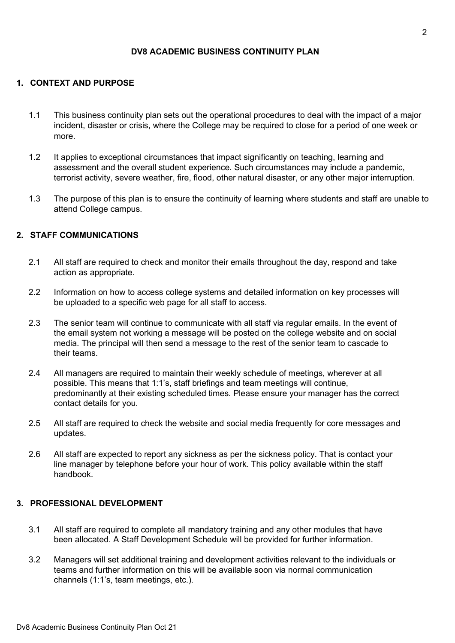## DV8 ACADEMIC BUSINESS CONTINUITY PLAN

#### 1. CONTEXT AND PURPOSE

- 1.1 This business continuity plan sets out the operational procedures to deal with the impact of a major incident, disaster or crisis, where the College may be required to close for a period of one week or more.
- 1.2 It applies to exceptional circumstances that impact significantly on teaching, learning and assessment and the overall student experience. Such circumstances may include a pandemic, terrorist activity, severe weather, fire, flood, other natural disaster, or any other major interruption.
- 1.3 The purpose of this plan is to ensure the continuity of learning where students and staff are unable to attend College campus.

## 2. STAFF COMMUNICATIONS

- 2.1 All staff are required to check and monitor their emails throughout the day, respond and take action as appropriate.
- 2.2 Information on how to access college systems and detailed information on key processes will be uploaded to a specific web page for all staff to access.
- 2.3 The senior team will continue to communicate with all staff via regular emails. In the event of the email system not working a message will be posted on the college website and on social media. The principal will then send a message to the rest of the senior team to cascade to their teams.
- 2.4 All managers are required to maintain their weekly schedule of meetings, wherever at all possible. This means that 1:1's, staff briefings and team meetings will continue, predominantly at their existing scheduled times. Please ensure your manager has the correct contact details for you.
- 2.5 All staff are required to check the website and social media frequently for core messages and updates.
- 2.6 All staff are expected to report any sickness as per the sickness policy. That is contact your line manager by telephone before your hour of work. This policy available within the staff handbook.

#### 3. PROFESSIONAL DEVELOPMENT

- 3.1 All staff are required to complete all mandatory training and any other modules that have been allocated. A Staff Development Schedule will be provided for further information.
- 3.2 Managers will set additional training and development activities relevant to the individuals or teams and further information on this will be available soon via normal communication channels (1:1's, team meetings, etc.).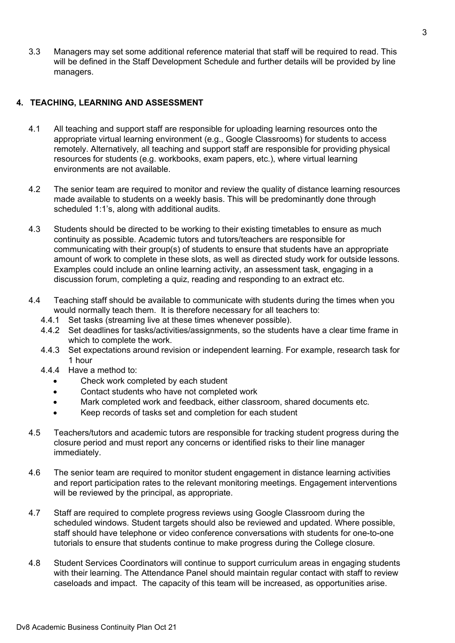3.3 Managers may set some additional reference material that staff will be required to read. This will be defined in the Staff Development Schedule and further details will be provided by line managers.

## 4. TEACHING, LEARNING AND ASSESSMENT

- 4.1 All teaching and support staff are responsible for uploading learning resources onto the appropriate virtual learning environment (e.g., Google Classrooms) for students to access remotely. Alternatively, all teaching and support staff are responsible for providing physical resources for students (e.g. workbooks, exam papers, etc.), where virtual learning environments are not available.
- 4.2 The senior team are required to monitor and review the quality of distance learning resources made available to students on a weekly basis. This will be predominantly done through scheduled 1:1's, along with additional audits.
- 4.3 Students should be directed to be working to their existing timetables to ensure as much continuity as possible. Academic tutors and tutors/teachers are responsible for communicating with their group(s) of students to ensure that students have an appropriate amount of work to complete in these slots, as well as directed study work for outside lessons. Examples could include an online learning activity, an assessment task, engaging in a discussion forum, completing a quiz, reading and responding to an extract etc.
- 4.4 Teaching staff should be available to communicate with students during the times when you would normally teach them. It is therefore necessary for all teachers to:
	- 4.4.1 Set tasks (streaming live at these times whenever possible).
	- 4.4.2 Set deadlines for tasks/activities/assignments, so the students have a clear time frame in which to complete the work.
	- 4.4.3 Set expectations around revision or independent learning. For example, research task for 1 hour
	- 4.4.4 Have a method to:
		- Check work completed by each student
		- Contact students who have not completed work
		- Mark completed work and feedback, either classroom, shared documents etc.
		- Keep records of tasks set and completion for each student
- 4.5 Teachers/tutors and academic tutors are responsible for tracking student progress during the closure period and must report any concerns or identified risks to their line manager immediately.
- 4.6 The senior team are required to monitor student engagement in distance learning activities and report participation rates to the relevant monitoring meetings. Engagement interventions will be reviewed by the principal, as appropriate.
- 4.7 Staff are required to complete progress reviews using Google Classroom during the scheduled windows. Student targets should also be reviewed and updated. Where possible, staff should have telephone or video conference conversations with students for one-to-one tutorials to ensure that students continue to make progress during the College closure.
- 4.8 Student Services Coordinators will continue to support curriculum areas in engaging students with their learning. The Attendance Panel should maintain regular contact with staff to review caseloads and impact. The capacity of this team will be increased, as opportunities arise.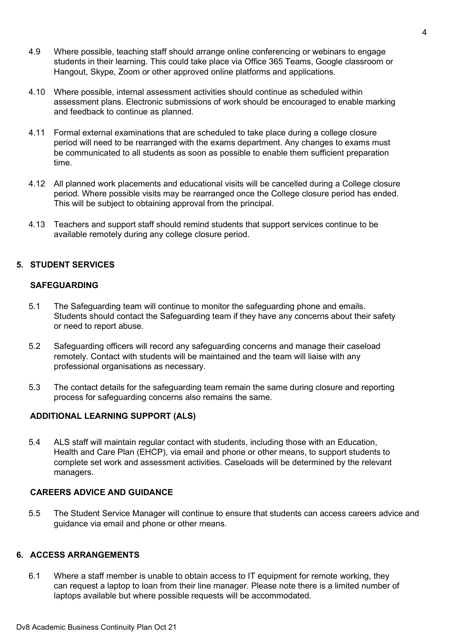- 4.9 Where possible, teaching staff should arrange online conferencing or webinars to engage students in their learning. This could take place via Office 365 Teams, Google classroom or Hangout, Skype, Zoom or other approved online platforms and applications.
- 4.10 Where possible, internal assessment activities should continue as scheduled within assessment plans. Electronic submissions of work should be encouraged to enable marking and feedback to continue as planned.
- 4.11 Formal external examinations that are scheduled to take place during a college closure period will need to be rearranged with the exams department. Any changes to exams must be communicated to all students as soon as possible to enable them sufficient preparation time.
- 4.12 All planned work placements and educational visits will be cancelled during a College closure period. Where possible visits may be rearranged once the College closure period has ended. This will be subject to obtaining approval from the principal.
- 4.13 Teachers and support staff should remind students that support services continue to be available remotely during any college closure period.

## 5. STUDENT SERVICES

#### SAFEGUARDING

- 5.1 The Safeguarding team will continue to monitor the safeguarding phone and emails. Students should contact the Safeguarding team if they have any concerns about their safety or need to report abuse.
- 5.2 Safeguarding officers will record any safeguarding concerns and manage their caseload remotely. Contact with students will be maintained and the team will liaise with any professional organisations as necessary.
- 5.3 The contact details for the safeguarding team remain the same during closure and reporting process for safeguarding concerns also remains the same.

## ADDITIONAL LEARNING SUPPORT (ALS)

5.4 ALS staff will maintain regular contact with students, including those with an Education, Health and Care Plan (EHCP), via email and phone or other means, to support students to complete set work and assessment activities. Caseloads will be determined by the relevant managers.

#### CAREERS ADVICE AND GUIDANCE

5.5 The Student Service Manager will continue to ensure that students can access careers advice and guidance via email and phone or other means.

#### 6. ACCESS ARRANGEMENTS

6.1 Where a staff member is unable to obtain access to IT equipment for remote working, they can request a laptop to loan from their line manager. Please note there is a limited number of laptops available but where possible requests will be accommodated.